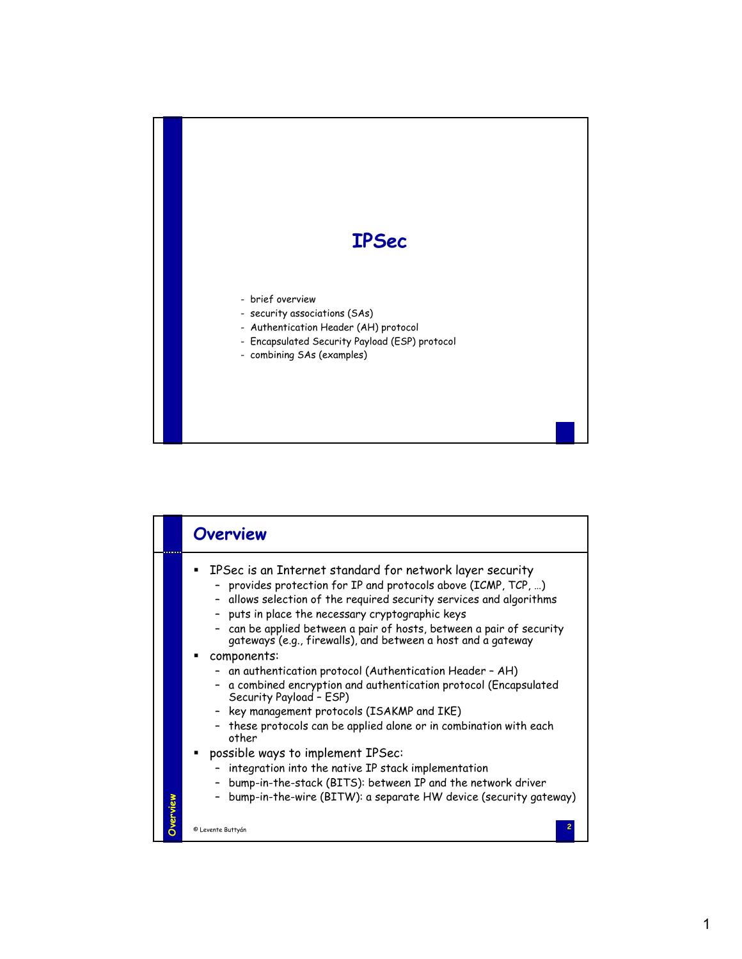

|          | <b>Overview</b>                                                                                                                                                                                                                                                                                                                                                                                                                                                                                                                                                                                                                                                                                                                                                                                                                                                                                                                                          |
|----------|----------------------------------------------------------------------------------------------------------------------------------------------------------------------------------------------------------------------------------------------------------------------------------------------------------------------------------------------------------------------------------------------------------------------------------------------------------------------------------------------------------------------------------------------------------------------------------------------------------------------------------------------------------------------------------------------------------------------------------------------------------------------------------------------------------------------------------------------------------------------------------------------------------------------------------------------------------|
| Overview | IPSec is an Internet standard for network layer security<br>provides protection for IP and protocols above (ICMP, TCP, )<br>- allows selection of the required security services and algorithms<br>puts in place the necessary cryptographic keys<br>can be applied between a pair of hosts, between a pair of security<br>gateways (e.g., firewalls), and between a host and a gateway<br>components:<br>- an authentication protocol (Authentication Header - AH)<br>- a combined encryption and authentication protocol (Encapsulated<br>Security Payload - ESP)<br>key management protocols (ISAKMP and IKE)<br>these protocols can be applied alone or in combination with each<br>other<br>possible ways to implement IPSec:<br>integration into the native IP stack implementation<br>bump-in-the-stack (BITS): between IP and the network driver<br>$\overline{\phantom{a}}$<br>bump-in-the-wire (BITW): a separate HW device (security gateway) |
|          | © Levente Buttyán                                                                                                                                                                                                                                                                                                                                                                                                                                                                                                                                                                                                                                                                                                                                                                                                                                                                                                                                        |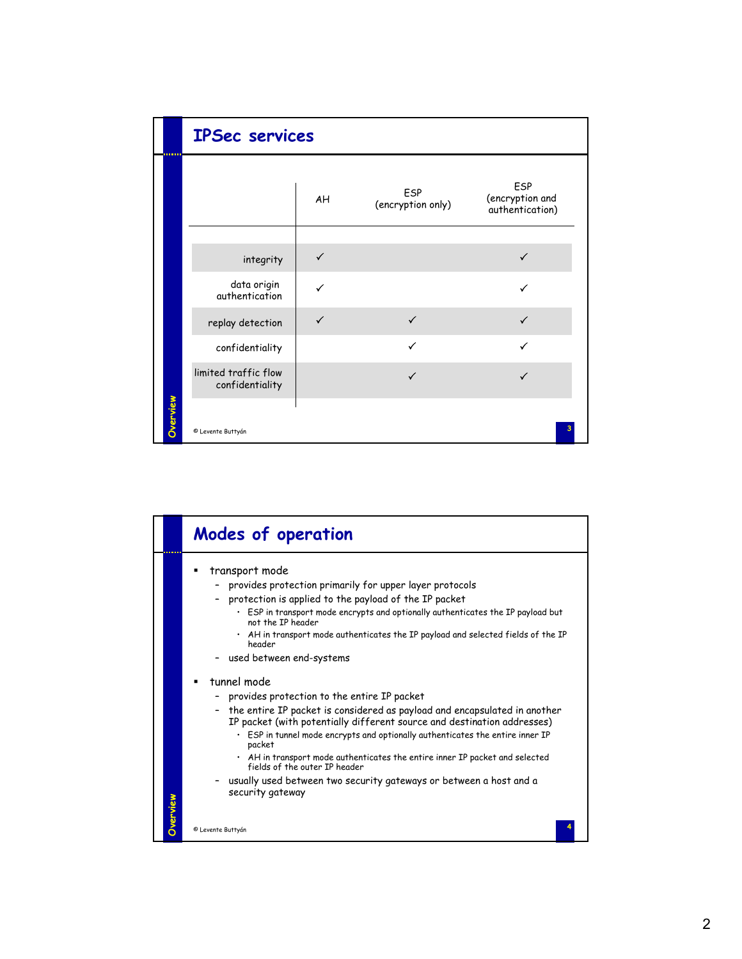|          | <b>IPSec services</b>                   |              |                          |                                           |
|----------|-----------------------------------------|--------------|--------------------------|-------------------------------------------|
|          |                                         | AH           | ESP<br>(encryption only) | ESP<br>(encryption and<br>authentication) |
|          | integrity                               | $\checkmark$ |                          | ✓                                         |
|          | data origin<br>authentication           |              |                          |                                           |
|          | replay detection                        | ✓            | $\checkmark$             | ✓                                         |
|          | confidentiality                         |              | $\checkmark$             | ✓                                         |
|          | limited traffic flow<br>confidentiality |              | ✓                        |                                           |
| Overview | © Levente Buttyán                       |              |                          |                                           |

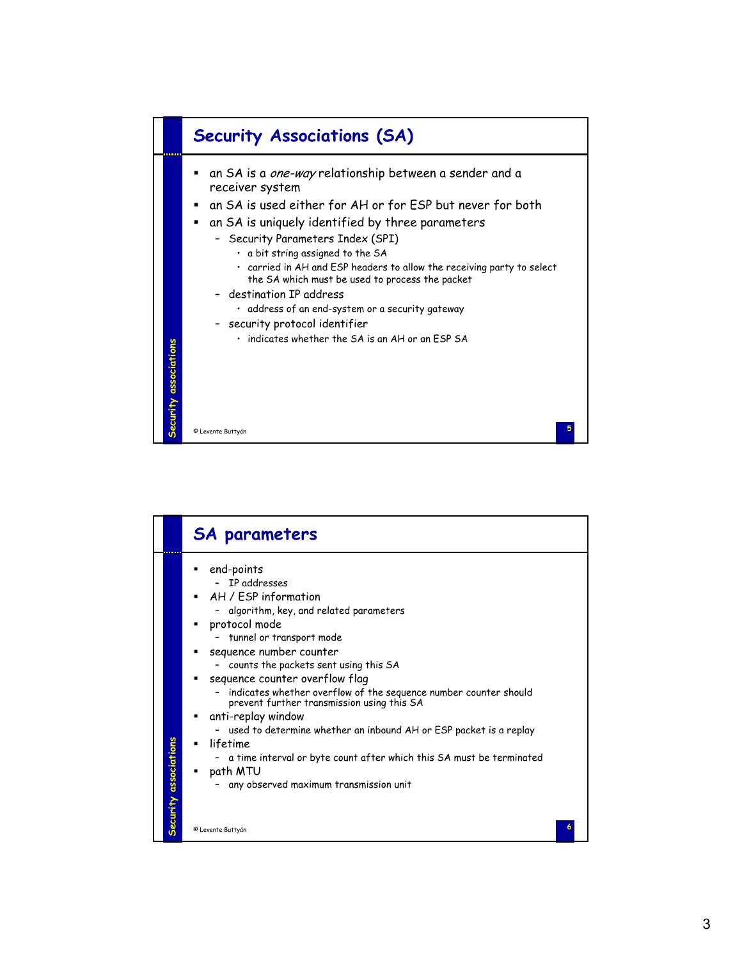

|                      | <b>SA parameters</b>                                                                                                                                                                                                                                                                                                                                                                                                                                                                                                                                                                                                      |
|----------------------|---------------------------------------------------------------------------------------------------------------------------------------------------------------------------------------------------------------------------------------------------------------------------------------------------------------------------------------------------------------------------------------------------------------------------------------------------------------------------------------------------------------------------------------------------------------------------------------------------------------------------|
| ecurity associations | end-points<br>- IP addresses<br>AH / ESP information<br>٠<br>- algorithm, key, and related parameters<br>protocol mode<br>- tunnel or transport mode<br>sequence number counter<br>- counts the packets sent using this SA<br>sequence counter overflow flag<br>- indicates whether overflow of the sequence number counter should<br>prevent further transmission using this SA<br>anti-replay window<br>- used to determine whether an inbound AH or ESP packet is a replay<br>lifetime<br>- a time interval or byte count after which this SA must be terminated<br>path MTU<br>any observed maximum transmission unit |
|                      | © Levente Buttyán                                                                                                                                                                                                                                                                                                                                                                                                                                                                                                                                                                                                         |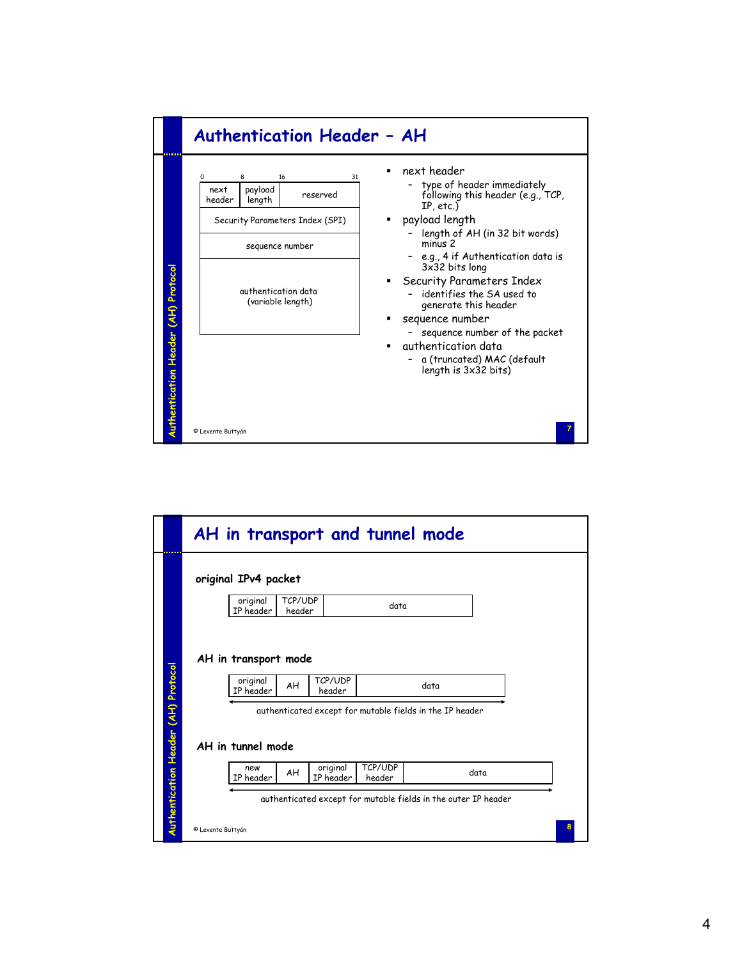|                                            | $\Omega$<br>8<br>16<br>31<br>next        | next header<br>type of header immediately                                                         |
|--------------------------------------------|------------------------------------------|---------------------------------------------------------------------------------------------------|
|                                            | payload<br>reserved<br>header<br>length  | following this header (e.g., TCP,<br>IP, etc.)                                                    |
|                                            | Security Parameters Index (SPI)          | payload length<br>length of AH (in 32 bit words)                                                  |
|                                            | sequence number                          | min <sub>1</sub> s <sub>2</sub><br>e.g., 4 if Authentication data is<br>3x32 bits long            |
| <b>Iuthentication Header (AH) Protocol</b> | authentication data<br>(variable length) | Security Parameters Index<br>identifies the SA used to<br>generate this header<br>sequence number |
|                                            |                                          | sequence number of the packet<br>authentication data                                              |
|                                            |                                          | a (truncated) MAC (default<br>length is 3x32 bits)                                                |
|                                            |                                          |                                                                                                   |

| original IPv4 packet  |                   |                   |                                                          |      |  |
|-----------------------|-------------------|-------------------|----------------------------------------------------------|------|--|
| original<br>IP header | TCP/UDP<br>header |                   | data                                                     |      |  |
| original<br>IP header | AH                | TCP/UDP<br>header | authenticated except for mutable fields in the IP header | data |  |
| AH in tunnel mode     |                   |                   |                                                          |      |  |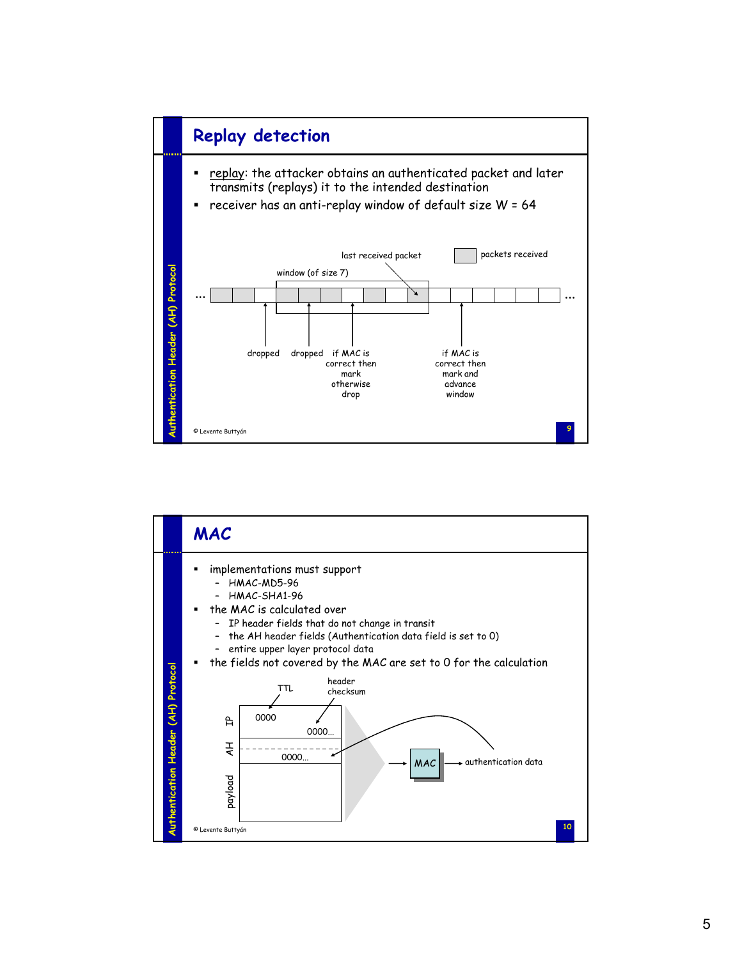

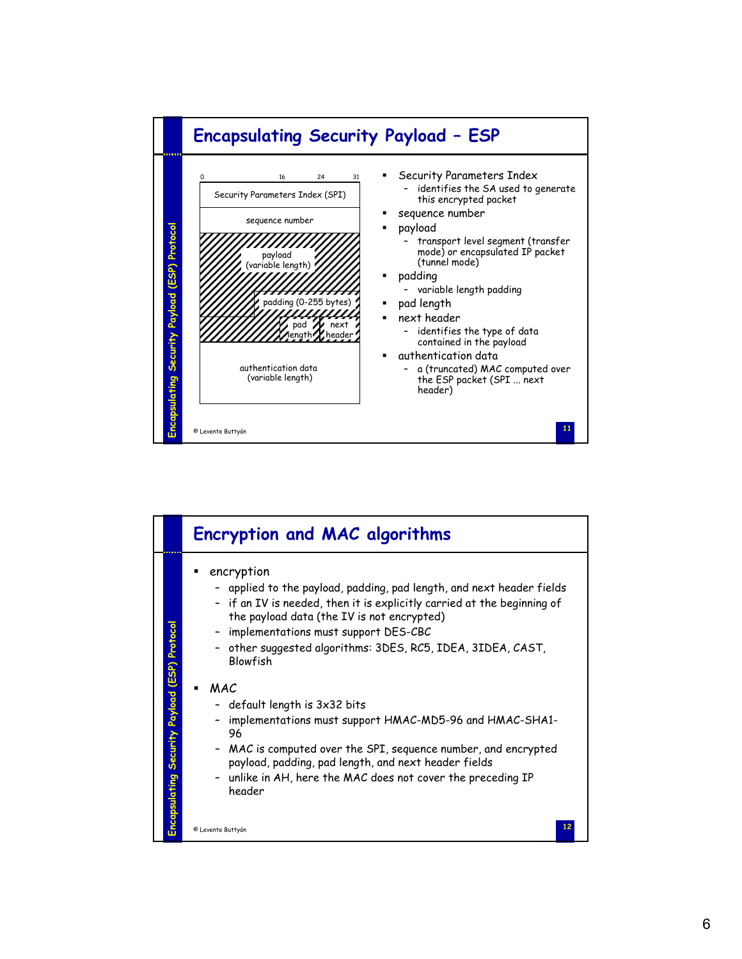

|                                               | <b>Encryption and MAC algorithms</b>                                                                                                                                                                                                                                                                                                                                                                                                                                                                                                                                                                                                                                              |
|-----------------------------------------------|-----------------------------------------------------------------------------------------------------------------------------------------------------------------------------------------------------------------------------------------------------------------------------------------------------------------------------------------------------------------------------------------------------------------------------------------------------------------------------------------------------------------------------------------------------------------------------------------------------------------------------------------------------------------------------------|
| Encapsulating Security Payload (ESP) Protocol | encryption<br>applied to the payload, padding, pad length, and next header fields<br>- if an IV is needed, then it is explicitly carried at the beginning of<br>the payload data (the IV is not encrypted)<br>- implementations must support DES-CBC<br>other suggested algorithms: 3DES, RC5, IDEA, 3IDEA, CAST,<br>Blowfish<br>MAC<br>$\blacksquare$<br>default length is 3x32 bits<br>implementations must support HMAC-MD5-96 and HMAC-SHA1-<br>96<br>MAC is computed over the SPI, sequence number, and encrypted<br>payload, padding, pad length, and next header fields<br>unlike in AH, here the MAC does not cover the preceding IP<br>header<br>12<br>© Levente Buttyán |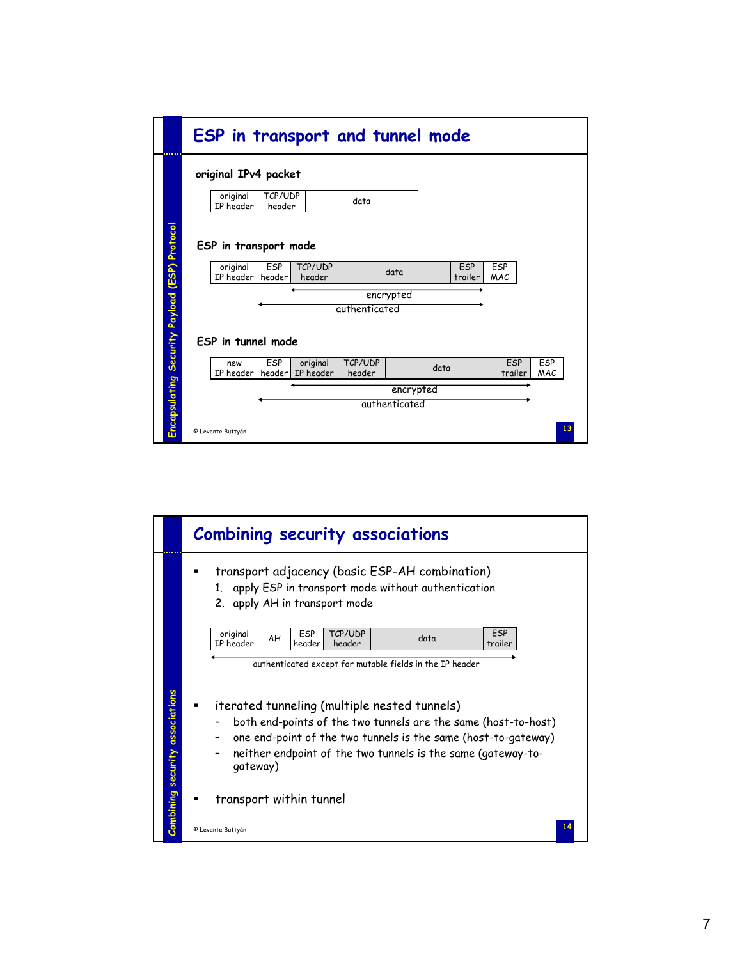|                       |                       | original IPv4 packet |                  |                   |           |      |         |            |         |            |
|-----------------------|-----------------------|----------------------|------------------|-------------------|-----------|------|---------|------------|---------|------------|
|                       | original<br>IP header | TCP/UDP<br>header    |                  | data              |           |      |         |            |         |            |
| ESP in transport mode | original              | ESP                  | TCP/UDP          |                   | data      |      | ESP     | ESP        |         |            |
|                       | IP header             | header               | header           |                   |           |      | trailer | <b>MAC</b> |         |            |
|                       |                       |                      |                  |                   | encrypted |      |         |            |         |            |
|                       |                       |                      |                  |                   |           |      |         |            |         |            |
|                       |                       |                      |                  | authenticated     |           |      |         |            |         |            |
| ESP in tunnel mode    |                       |                      |                  |                   |           |      |         |            |         |            |
|                       | new                   | ESP                  | original         | TCP/UDP<br>header |           | data |         | ESP        | trailer | ESP<br>MAC |
|                       | IP header             |                      | header IP header |                   | encrypted |      |         |            |         |            |

|                                 |                                                                                                                                                                                                                                                              | <b>Combining security associations</b>                                                                                                           |  |  |  |  |  |  |  |
|---------------------------------|--------------------------------------------------------------------------------------------------------------------------------------------------------------------------------------------------------------------------------------------------------------|--------------------------------------------------------------------------------------------------------------------------------------------------|--|--|--|--|--|--|--|
|                                 |                                                                                                                                                                                                                                                              | transport adjacency (basic ESP-AH combination)<br>apply ESP in transport mode without authentication<br>$1_{-}$<br>2. apply AH in transport mode |  |  |  |  |  |  |  |
|                                 | original<br>TCP/UDP<br>ESP<br><b>ESP</b><br>AH<br>data<br>IP header<br>header<br>header<br>trailer<br>authenticated except for mutable fields in the IP header                                                                                               |                                                                                                                                                  |  |  |  |  |  |  |  |
| Combining security associations | iterated tunneling (multiple nested tunnels)<br>both end-points of the two tunnels are the same (host-to-host)<br>one end-point of the two tunnels is the same (host-to-gateway)<br>neither endpoint of the two tunnels is the same (gateway-to-<br>gateway) |                                                                                                                                                  |  |  |  |  |  |  |  |
|                                 |                                                                                                                                                                                                                                                              | transport within tunnel                                                                                                                          |  |  |  |  |  |  |  |
|                                 |                                                                                                                                                                                                                                                              | © Levente Buttyán                                                                                                                                |  |  |  |  |  |  |  |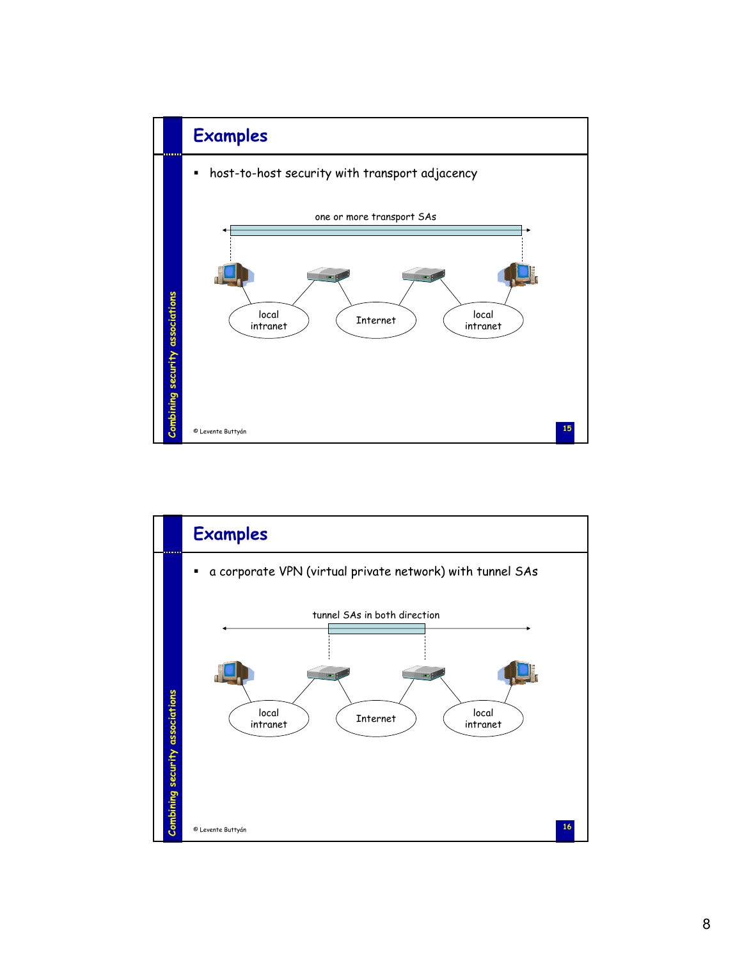

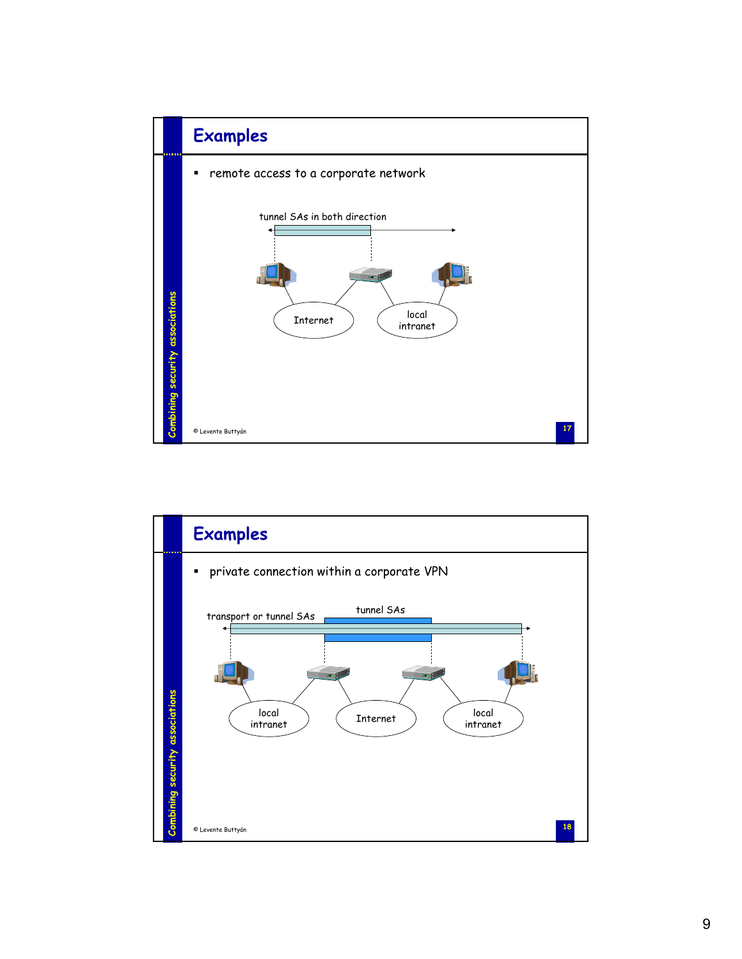